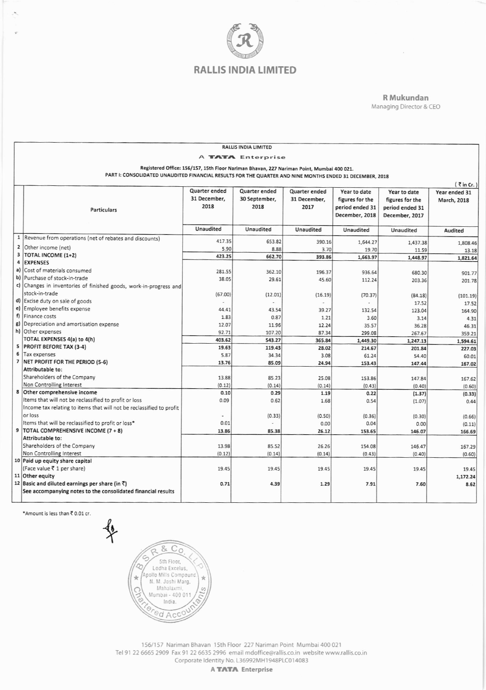

R Mukundan Managing Director & CEO

| <b>RALLIS INDIA LIMITED</b> |                                                                                                                                                                                                       |               |                |                  |                                 |                                   |                                     |  |
|-----------------------------|-------------------------------------------------------------------------------------------------------------------------------------------------------------------------------------------------------|---------------|----------------|------------------|---------------------------------|-----------------------------------|-------------------------------------|--|
| A TATA Enterprise           |                                                                                                                                                                                                       |               |                |                  |                                 |                                   |                                     |  |
|                             |                                                                                                                                                                                                       |               |                |                  |                                 |                                   |                                     |  |
|                             | Registered Office: 156/157, 15th Floor Nariman Bhavan, 227 Nariman Point, Mumbai 400 021.<br>PART I: CONSOLIDATED UNAUDITED FINANCIAL RESULTS FOR THE QUARTER AND NINE MONTHS ENDED 31 DECEMBER, 2018 |               |                |                  |                                 |                                   |                                     |  |
|                             |                                                                                                                                                                                                       |               |                |                  |                                 |                                   |                                     |  |
|                             |                                                                                                                                                                                                       | Quarter ended | Quarter ended  | Quarter ended    |                                 |                                   | $\left($ $\overline{\zeta}$ in Cr.) |  |
|                             |                                                                                                                                                                                                       | 31 December,  | 30 September,  | 31 December,     | Year to date<br>figures for the | Year to date                      | Year ended 31                       |  |
|                             |                                                                                                                                                                                                       | 2018          | 2018           | 2017             | period ended 31                 | figures for the                   | March, 2018                         |  |
|                             | <b>Particulars</b>                                                                                                                                                                                    |               |                |                  | December, 2018                  | period ended 31<br>December, 2017 |                                     |  |
|                             |                                                                                                                                                                                                       |               |                |                  |                                 |                                   |                                     |  |
|                             |                                                                                                                                                                                                       | Unaudited     | Unaudited      | <b>Unaudited</b> | Unaudited                       | Unaudited                         | Audited                             |  |
|                             | 1  Revenue from operations (net of rebates and discounts)                                                                                                                                             | 417.35        |                |                  |                                 |                                   |                                     |  |
|                             | 2 Other income (net)                                                                                                                                                                                  | 5.90          | 653.82<br>8.88 | 390.16<br>3.70   | 1,644.27                        | 1,437.38                          | 1,808.46                            |  |
| 3                           | TOTAL INCOME (1+2)                                                                                                                                                                                    | 423.25        | 662.70         | 393.86           | 19.70<br>1,663.97               | 11.59                             | 13.18                               |  |
| 4                           | <b>EXPENSES</b>                                                                                                                                                                                       |               |                |                  |                                 | 1,448.97                          | 1,821.64                            |  |
| a)                          | Cost of materials consumed                                                                                                                                                                            | 281.55        | 362.10         | 196.37           | 936.64                          | 680.30                            | 901.77                              |  |
| b)                          | Purchase of stock-in-trade                                                                                                                                                                            | 38.05         | 29.61          | 45.60            | 112.24                          | 203.36                            | 201.78                              |  |
|                             | c) Changes in inventories of finished goods, work-in-progress and                                                                                                                                     |               |                |                  |                                 |                                   |                                     |  |
|                             | stock-in-trade                                                                                                                                                                                        | (67.00)       | (12.01)        | (16.19)          | (70.37)                         | (84.18)                           | (101.19)                            |  |
|                             | d) Excise duty on sale of goods                                                                                                                                                                       |               |                |                  |                                 | 17.52                             | 17.52                               |  |
| e)                          | Employee benefits expense                                                                                                                                                                             | 44.41         | 43.54          | 39.27            | 132.54                          | 123.04                            | 164.90                              |  |
| f)                          | Finance costs                                                                                                                                                                                         | 1.83          | 0.87           | 1.21             | 3.60                            | 3.14                              | 4.31                                |  |
| g)                          | Depreciation and amortisation expense                                                                                                                                                                 | 12.07         | 11.96          | 12.24            | 35.57                           | 36.28                             | 46.31                               |  |
|                             | h) Other expenses                                                                                                                                                                                     | 92.71         | 107.20         | 87.34            | 299.08                          | 267.67                            | 359.21                              |  |
|                             | <b>TOTAL EXPENSES 4(a) to 4(h)</b>                                                                                                                                                                    | 403.62        | 543.27         | 365.84           | 1,449.30                        | 1,247.13                          | 1,594.61                            |  |
| 6                           | 5 PROFIT BEFORE TAX (3-4)                                                                                                                                                                             | 19.63         | 119.43         | 28.02            | 214.67                          | 201.84                            | 227.03                              |  |
| $\overline{7}$              | Tax expenses                                                                                                                                                                                          | 5.87          | 34.34          | 3.08             | 61.24                           | 54.40                             | 60.01                               |  |
|                             | NET PROFIT FOR THE PERIOD (5-6)<br>Attributable to:                                                                                                                                                   | 13.76         | 85.09          | 24.94            | 153.43                          | 147.44                            | 167.02                              |  |
|                             | Shareholders of the Company                                                                                                                                                                           | 13.88         | 85.23          | 25.08            | 153.86                          | 147.84                            |                                     |  |
|                             | Non Controlling Interest                                                                                                                                                                              | (0.12)        | (0.14)         | (0.14)           | (0.43)                          | (0.40)                            | 167.62<br>(0.60)                    |  |
|                             | 8 Other comprehensive income                                                                                                                                                                          | 0.10          | 0.29           | 1.19             | 0.22                            | (1.37)                            | (0.33)                              |  |
|                             | Items that will not be reclassified to profit or loss                                                                                                                                                 | 0.09          | 0.62           | 1.68             | 0.54                            | (1.07)                            | 0.44                                |  |
|                             | Income tax relating to items that will not be reclassified to profit                                                                                                                                  |               |                |                  |                                 |                                   |                                     |  |
|                             | or loss                                                                                                                                                                                               |               | (0.33)         | (0.50)           | (0.36)                          | (0.30)                            | (0.66)                              |  |
|                             | Items that will be reclassified to profit or loss*                                                                                                                                                    | 0.01          |                | 0.00             | 0.04                            | 0.00                              | (0.11)                              |  |
|                             | 9 TOTAL COMPREHENSIVE INCOME (7 + 8)                                                                                                                                                                  | 13.86         | 85.38          | 26.12            | 153.65                          | 146.07                            | 166.69                              |  |
|                             | Attributable to:                                                                                                                                                                                      |               |                |                  |                                 |                                   |                                     |  |
|                             | Shareholders of the Company                                                                                                                                                                           | 13.98         | 85.52          | 26.26            | 154.08                          | 146.47                            | 167.29                              |  |
|                             | Non Controlling Interest                                                                                                                                                                              | (0.12)        | (0.14)         | (0.14)           | (0.43)                          | (0.40)                            | (0.60)                              |  |
|                             | 10 Paid up equity share capital                                                                                                                                                                       |               |                |                  |                                 |                                   |                                     |  |
|                             | (Face value ₹ 1 per share)                                                                                                                                                                            | 19.45         | 19.45          | 19.45            | 19.45                           | 19.45                             | 19.45                               |  |
|                             | 11 Other equity<br>12 Basic and diluted earnings per share (in ₹)                                                                                                                                     | 0.71          | 4.39           |                  |                                 |                                   | 1,172.24                            |  |
|                             | See accompanying notes to the consolidated financial results                                                                                                                                          |               |                | 1.29             | 7.91                            | 7.60                              | 8.62                                |  |
|                             |                                                                                                                                                                                                       |               |                |                  |                                 |                                   |                                     |  |
|                             |                                                                                                                                                                                                       |               |                |                  |                                 |                                   |                                     |  |

\*Amount is less than ₹ 0.01 cr.

 $\epsilon$ 



156/157 Nariman Bhavan 15th Floor 227 Nariman Point Mumbai 400 021 Tel 91 22 6665 2909 Fax 91 22 6635 2996 email mdoffice@rallis.co.in website www.rallis.co.in

Corporate Identity No. L36992MH1948PLC014083

A TATA Enterprise